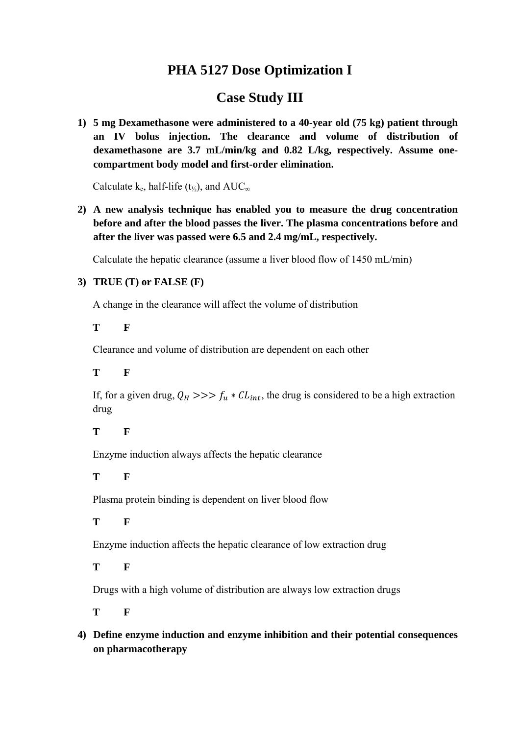# **PHA 5127 Dose Optimization I**

# **Case Study III**

**1) 5 mg Dexamethasone were administered to a 40-year old (75 kg) patient through an IV bolus injection. The clearance and volume of distribution of dexamethasone are 3.7 mL/min/kg and 0.82 L/kg, respectively. Assume onecompartment body model and first-order elimination.** 

Calculate k<sub>e</sub>, half-life (t<sub>½</sub>), and  $AUC_{\infty}$ 

**2) A new analysis technique has enabled you to measure the drug concentration before and after the blood passes the liver. The plasma concentrations before and after the liver was passed were 6.5 and 2.4 mg/mL, respectively.** 

Calculate the hepatic clearance (assume a liver blood flow of 1450 mL/min)

#### **3) TRUE (T) or FALSE (F)**

A change in the clearance will affect the volume of distribution

**T F**

Clearance and volume of distribution are dependent on each other

## **T F**

If, for a given drug,  $Q_H \gg \gg f_u * CL_{int}$ , the drug is considered to be a high extraction drug

#### **T F**

Enzyme induction always affects the hepatic clearance

## **T F**

Plasma protein binding is dependent on liver blood flow

#### **T F**

Enzyme induction affects the hepatic clearance of low extraction drug

#### **T F**

Drugs with a high volume of distribution are always low extraction drugs

**T F**

**4) Define enzyme induction and enzyme inhibition and their potential consequences on pharmacotherapy**